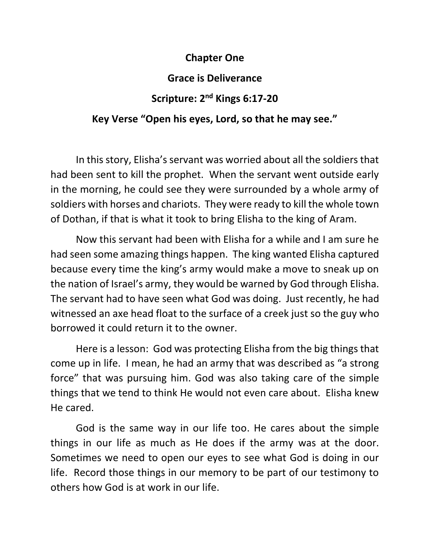## **Chapter One**

## **Grace is Deliverance**

## **Scripture: 2 nd Kings 6:17-20**

## **Key Verse "Open his eyes, Lord, so that he may see."**

In this story, Elisha's servant was worried about all the soldiers that had been sent to kill the prophet. When the servant went outside early in the morning, he could see they were surrounded by a whole army of soldiers with horses and chariots. They were ready to kill the whole town of Dothan, if that is what it took to bring Elisha to the king of Aram.

Now this servant had been with Elisha for a while and I am sure he had seen some amazing things happen. The king wanted Elisha captured because every time the king's army would make a move to sneak up on the nation of Israel's army, they would be warned by God through Elisha. The servant had to have seen what God was doing. Just recently, he had witnessed an axe head float to the surface of a creek just so the guy who borrowed it could return it to the owner.

Here is a lesson: God was protecting Elisha from the big things that come up in life. I mean, he had an army that was described as "a strong force" that was pursuing him. God was also taking care of the simple things that we tend to think He would not even care about. Elisha knew He cared.

God is the same way in our life too. He cares about the simple things in our life as much as He does if the army was at the door. Sometimes we need to open our eyes to see what God is doing in our life. Record those things in our memory to be part of our testimony to others how God is at work in our life.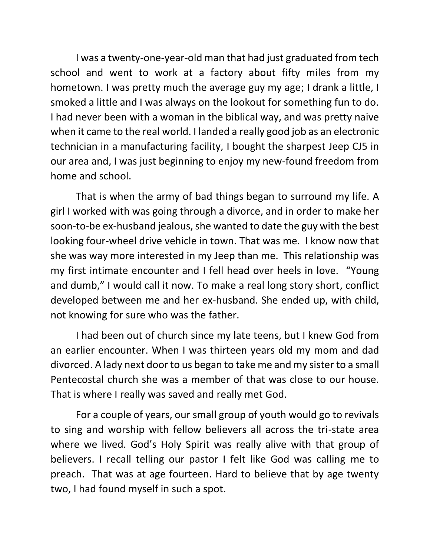I was a twenty-one-year-old man that had just graduated from tech school and went to work at a factory about fifty miles from my hometown. I was pretty much the average guy my age; I drank a little, I smoked a little and I was always on the lookout for something fun to do. I had never been with a woman in the biblical way, and was pretty naive when it came to the real world. I landed a really good job as an electronic technician in a manufacturing facility, I bought the sharpest Jeep CJ5 in our area and, I was just beginning to enjoy my new-found freedom from home and school.

That is when the army of bad things began to surround my life. A girl I worked with was going through a divorce, and in order to make her soon-to-be ex-husband jealous, she wanted to date the guy with the best looking four-wheel drive vehicle in town. That was me. I know now that she was way more interested in my Jeep than me. This relationship was my first intimate encounter and I fell head over heels in love. "Young and dumb," I would call it now. To make a real long story short, conflict developed between me and her ex-husband. She ended up, with child, not knowing for sure who was the father.

I had been out of church since my late teens, but I knew God from an earlier encounter. When I was thirteen years old my mom and dad divorced. A lady next door to us began to take me and my sister to a small Pentecostal church she was a member of that was close to our house. That is where I really was saved and really met God.

For a couple of years, our small group of youth would go to revivals to sing and worship with fellow believers all across the tri-state area where we lived. God's Holy Spirit was really alive with that group of believers. I recall telling our pastor I felt like God was calling me to preach. That was at age fourteen. Hard to believe that by age twenty two, I had found myself in such a spot.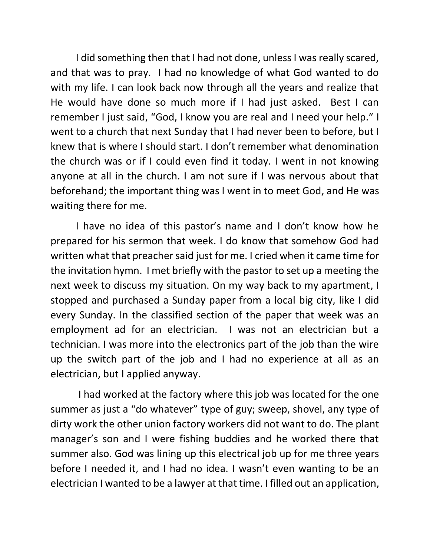I did something then that I had not done, unless I was really scared, and that was to pray. I had no knowledge of what God wanted to do with my life. I can look back now through all the years and realize that He would have done so much more if I had just asked. Best I can remember I just said, "God, I know you are real and I need your help." I went to a church that next Sunday that I had never been to before, but I knew that is where I should start. I don't remember what denomination the church was or if I could even find it today. I went in not knowing anyone at all in the church. I am not sure if I was nervous about that beforehand; the important thing was I went in to meet God, and He was waiting there for me.

I have no idea of this pastor's name and I don't know how he prepared for his sermon that week. I do know that somehow God had written what that preacher said just for me. I cried when it came time for the invitation hymn. I met briefly with the pastor to set up a meeting the next week to discuss my situation. On my way back to my apartment, I stopped and purchased a Sunday paper from a local big city, like I did every Sunday. In the classified section of the paper that week was an employment ad for an electrician. I was not an electrician but a technician. I was more into the electronics part of the job than the wire up the switch part of the job and I had no experience at all as an electrician, but I applied anyway.

I had worked at the factory where this job was located for the one summer as just a "do whatever" type of guy; sweep, shovel, any type of dirty work the other union factory workers did not want to do. The plant manager's son and I were fishing buddies and he worked there that summer also. God was lining up this electrical job up for me three years before I needed it, and I had no idea. I wasn't even wanting to be an electrician I wanted to be a lawyer at that time. I filled out an application,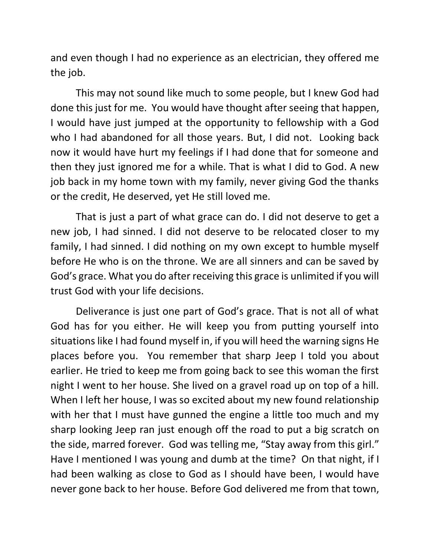and even though I had no experience as an electrician, they offered me the job.

This may not sound like much to some people, but I knew God had done this just for me. You would have thought after seeing that happen, I would have just jumped at the opportunity to fellowship with a God who I had abandoned for all those years. But, I did not. Looking back now it would have hurt my feelings if I had done that for someone and then they just ignored me for a while. That is what I did to God. A new job back in my home town with my family, never giving God the thanks or the credit, He deserved, yet He still loved me.

That is just a part of what grace can do. I did not deserve to get a new job, I had sinned. I did not deserve to be relocated closer to my family, I had sinned. I did nothing on my own except to humble myself before He who is on the throne. We are all sinners and can be saved by God's grace. What you do after receiving this grace is unlimited if you will trust God with your life decisions.

Deliverance is just one part of God's grace. That is not all of what God has for you either. He will keep you from putting yourself into situations like I had found myself in, if you will heed the warning signs He places before you. You remember that sharp Jeep I told you about earlier. He tried to keep me from going back to see this woman the first night I went to her house. She lived on a gravel road up on top of a hill. When I left her house, I was so excited about my new found relationship with her that I must have gunned the engine a little too much and my sharp looking Jeep ran just enough off the road to put a big scratch on the side, marred forever. God was telling me, "Stay away from this girl." Have I mentioned I was young and dumb at the time? On that night, if I had been walking as close to God as I should have been, I would have never gone back to her house. Before God delivered me from that town,